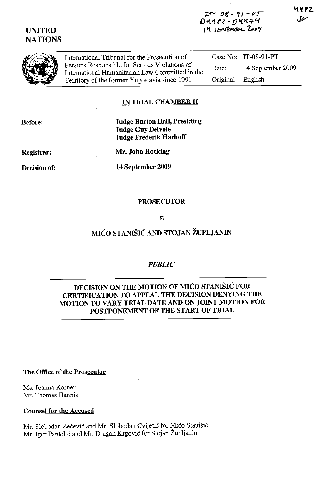# UNITED **NATIONS**

 $25 - 08 - 11 - 01$ D 4482 - 04474 *<sup>L</sup>'1. 1l-l'1l"lM(/1!oL 1.."..,*  14 P 2



International Tribunal for the Prosecution of Persons Responsible for Serious Violations of International Humanitarian Law Committed in the Territory of the former Yugoslavia since 1991 Case No: IT-08-91-PT Date: 14 September 2009 Original: English

### IN TRIAL CHAMBER II

Before:

Judge Burton Hall, Presiding Judge Guy Delvoie Judge Frederik Harhoff

Registrar:

Mr. John Hocking

Decision of:

14 September 2009

#### PROSECUTOR

#### *v.*

### MIĆO STANIŠIĆ AND STOJAN ŽUPLJANIN

### *PUBLIC*

## DECISION ON THE MOTION OF MIĆO STANIŠIĆ FOR CERTIFICATION TO APPEAL THE DECISION DENYING THE MOTION TO VARY TRIAL DATE AND ON JOINT MOTION FOR POSTPONEMENT OF THE START OF TRIAL

#### The Office of the Prosecutor

Ms. Joanna Komer Mr. Thomas Hannis

### Counsel for the Accused

Mr. Slobodan Zečević and Mr. Slobodan Cvijetić for Mićo Stanišić Mr. Igor Pantelić and Mr. Dragan Krgović for Stojan Župljanin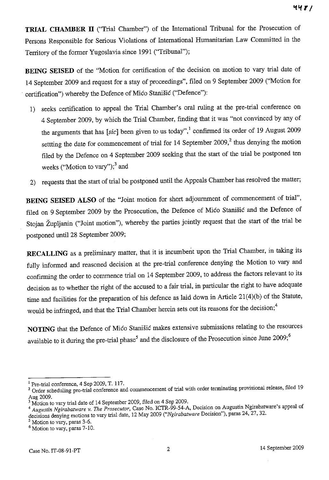**TRIAL CHAMBER II** ("Trial Chamber") of the International Tribunal for the Prosecution of Persons Responsible for Serious Violations of International Humanitarian Law Committed in the Territory of the former Yugoslavia since 1991 ("Tribunal");

**BEING SEISED** of the "Motion for certification of the decision on motion to vary trial date of 14 September 2009 and request for a stay of proceedings", filed on 9 September 2009 ("Motion for certification") whereby the Defence of Mićo Stanišić ("Defence");

- 1) seeks certification to appeal the Trial Chamber's oral ruling at the pre-trial conference on 4 September 2009, by which the Trial Chamber, finding that it was "not convinced by any of the arguments that has [sic] been given to us today",<sup>1</sup> confirmed its order of 19 August 2009 settting the date for commencement of trial for  $14$  September 2009,<sup>2</sup> thus denying the motion filed by the Defence on 4 September 2009 seeking that the start of the trial be postponed ten weeks ("Motion to vary");<sup>3</sup> and
- 2) requests that the start of trial be postponed until the Appeals Chamber has resolved the matter;

**BEING SEISED ALSO** of the "Joint motion for short adjoumment of commencement of trial", filed on 9 September 2009 by the Prosecution, the Defence of Mićo Stanišić and the Defence of Stojan Župljanin ("Joint motion"), whereby the parties jointly request that the start of the trial be postponed until 28 September 2009;

**RECALLING** as a preliminary matter, that it is incumbent upon the Trial Chamber, in taking its fully informed and reasoned decision at the pre-trial conference denying the Motion to vary and confirming the order to commence trial on 14 September 2009, to address the factors relevant to its decision as to whether the right of the accused to a fair trial, in particular the right to have adequate time and facilities for the preparation of his defence as laid down in Article 21(4)(b) of the Statute, would be infringed, and that the Trial Chamber herein sets out its reasons for the decision;<sup>4</sup>

**NOTING** that the Defence of Mićo Stanišić makes extensive submissions relating to the resources available to it during the pre-trial phase<sup>5</sup> and the disclosure of the Prosecution since June 2009;<sup>6</sup>

<sup>&</sup>lt;sup>I</sup> Pre-trial conference, 4 Sep 2009, T. 117.

<sup>&</sup>lt;sup>2</sup> Order scheduling pre-trial conference and commencement of trial with order terminating provisional release, filed 19 Aug 2009.

<sup>3</sup> Motion to vary trial date of 14 September 2009, filed on 4 Sep 2009.

<sup>4</sup>*Augustin Ngirabatware* v. *The Prosecutor,* Case No. ICTR-99-54-A, Decision on Augustin Ngirabatware's appeal of decisions denying motions to vary trial date, 12 May 2009 *("Ngirabatware* Decision"), paras 24, 27, 32.

Motion to vary, paras 3-6.

<sup>6</sup> Motion to vary, paras 7-10.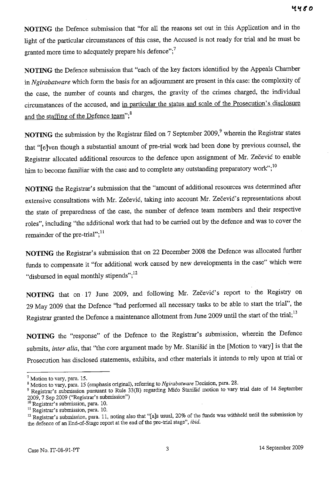**NOTING** the Defence submission that "for all the reasons set out in this Application and in the light of the particular circumstances of this case, the Accused is not ready for trial and he must be granted more time to adequately prepare his defence";<sup>7</sup>

**NOTING** the Defence submission that "each of the key factors identified by the Appeals Chamber in *Ngirabatware* which form the basis for an adjournment are present in this case: the complexity of the case, the number of counts and charges, the gravity of the crimes charged, the individual circumstances of the accused, and in particular the status and scale of the Prosecution's disclosure and the staffing of the Defence team";<sup>8</sup>

**NOTING** the submission by the Registrar filed on 7 September 2009,<sup>9</sup> wherein the Registrar states that "[elven though a substantial amount of pre-trial work had been done by previous counsel, the Registrar allocated additional resources to the defence upon assignment of Mr. Zečević to enable him to become familiar with the case and to complete any outstanding preparatory work";<sup>10</sup>

NOTING the Registrar's submission that the "amount of additional resources was determined after extensive consultations with Mr. Zečević, taking into account Mr. Zečević's representations about the state of preparedness of the case, the number of defence team members and their respective roles", including "the additional work that had to be carried out by the defence and was to cover the remainder of the pre-trial";<sup>11</sup>

**NOTING** the Registrar's submission that on 22 December 2008 the Defence was allocated further funds to compensate it "for additional work caused by new developments in the case" which were "disbursed in equal monthly stipends";<sup>12</sup>

**NOTING** that on 17 June 2009, and following Mr. Zečević's report to the Registry on 29 May 2009 that the Defence "had performed all necessary tasks to be able to start the trial", the Registrar granted the Defence a maintenance allotment from June 2009 until the start of the trial;<sup>13</sup>

**NOTING** the "response" of the Defence to the Registrar's submission, wherein the Defence submits, *inter alia*, that "the core argument made by Mr. Stanišić in the [Motion to vary] is that the Prosecution has disclosed statements, exhibits, and other materials it intends to rely upon at trial or

 $<sup>7</sup>$  Motion to vary, para. 15.</sup>

<sup>8</sup> Motion to vary, para. 15 (emphasis original), referring to *Ngirabatware* Decision, para. 28.

<sup>9</sup> Registrar's subntission pursuant to Rule 33(B) regarding Mićo Stanišić motion to vary trial date of 14 September 2009, 7 Sep 2009 ("Registrar's submission")

<sup>&</sup>lt;sup>10</sup> Registrar's submission, para. 10.

**II Registrar's submission, para. 10.** 

<sup>&</sup>lt;sup>12</sup> Registrar's submission, para. 11, noting also that "[a]s usual, 20% of the funds was withheld until the submission by the defence of an End-af-Stage report at the end of the pre-trial stage", *ibid.*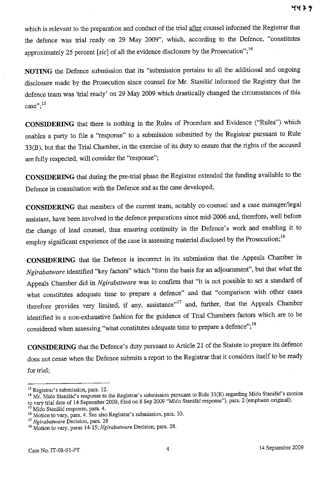which is relevant to the preparation and conduct of the trial after counsel informed the Registrar that the defence was trial ready on 29 May 2009", which, according to the Defence, "constitutes approximately 25 percent [sic] of all the evidence disclosure by the Prosecution";<sup>14</sup>

**NOTING** the Defence submission that its "submission pertains to all the additional and ongoing disclosure made by the Prosecution since counsel for Mr. Stanišić informed the Registry that the defence team was 'trial ready' on 29 May 2009 which drastically changed the circumstances of this **case"; 15** 

**CONSIDERING** that there is nothing in the Rules of Procedure and Evidence ("Rules") which enables a party to file a "response" to a submission submitted by the Registrar pursuant to Rule 33(B), but that the Trial Chamber, in the exercise of its duty to ensure that the rights of the accused are fully respected, will consider the "response";

**CONSIDERING** that during the pre-trial phase the Registrar extended the funding available to the Defence in consultation with the Defence and as the case developed;

**CONSIDERING** that members of the current team, notably co-counsel and a case manager/legal assistant, have been involved in the defence preparations since mid-2006 and, therefore, well before the change of lead counsel, thus ensuring continuity in the Defence's work and enabling it to employ significant experience of the case in assessing material disclosed by the Prosecution;<sup>16</sup>

**CONSIDERING** that the Defence is incorrect in its submission that the Appeals Chamber in *Ngirabatware* identified "key factors" which "form the basis for an adjournment", but that what the Appeals Chamber did in *Ngirabatware* was to confirm that ''it is not possible to set a standard of what constitutes adequate time to prepare a defence" and that "comparison with other cases therefore provides very limited, if any, assistance"<sup>17</sup> and, further, that the Appeals Chamber identified in a non-exhaustive fashion for the guidance of Trial Chambers factors which are to be considered when assessing "what constitutes adequate time to prepare a defence";<sup>18</sup>

**CONSIDERING** that the Defence's duty pursuant to Article 21 of the Statute to prepare its defence does not cease when the Defence submits a report to the Registrar that it considers itself to be ready for trial;

<sup>&</sup>lt;sup>13</sup> Registrar's submission, para. 12.

<sup>14</sup> Mr. Mićo Stanišić's response to the Registrar's submission pursuant to Rule 33(B) regarding Mićo Stanišić's motion to vary trial date of 14 September 2009, filed on 8 Sep 2009 "Mićo Stanišić response"), para. 2 (emphasis original).

<sup>&</sup>lt;sup>15</sup> Mićo Stanišić response, para. 4.

<sup>&</sup>lt;sup>16</sup> Motion to vary, para. 4. See also Registrar's submission, para. 10.

**<sup>17</sup>***Ngirabatware* **Decision, para. 28** l' Motion to vary, paras 14-15; *Ngirabatware* Decision, para. 28.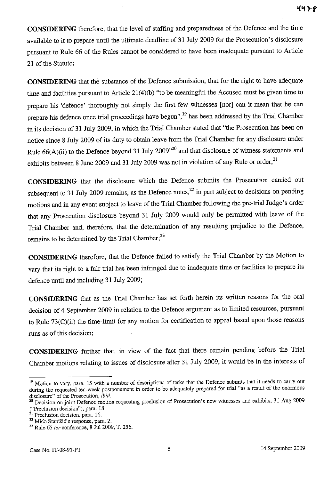**CONSIDERING** therefore, that the level of staffing and preparedness of the Defence and the time available to it to prepare until the ultimate deadline of 31 July 2009 for the Prosecution's disclosure pursuant to Rule 66 of the Rules cannot be considered to have been inadequate pursuant to Article 21 of the Statute;

**CONSIDERING** that the substance of the Defence submission, that for the right to have adequate time and facilities pursuant to Article 21(4)(b) "to be meaningful the Accused must be given time to prepare his 'defence' thoroughly not simply the first few witnesses **[nor]** can it mean that he can prepare his defence once trial proceedings have begun",<sup>19</sup> has been addressed by the Trial Chamber in its decision of 31 July 2009, in which the Trial Chamber stated that "the Prosecution has been on notice since 8 July 2009 of its duty to obtain leave from the Trial Chamber for any disclosure under Rule  $66(A)(ii)$  to the Defence beyond 31 July 2009<sup> $,20$ </sup> and that disclosure of witness statements and exhibits between 8 June 2009 and 31 July 2009 was not in violation of any Rule or order;<sup>21</sup>

**CONSIDERING** that the disclosure which the Defence submits the Prosecution carried out subsequent to 31 July 2009 remains, as the Defence notes, $^{22}$  in part subject to decisions on pending motions and in any event subject to leave of the Trial Chamber following the pre-trial Judge's order that any Prosecution disclosure beyond 31 July 2009 would only be permitted with leave of the Trial Chamber and, therefore, that the determination of any resulting prejudice to the Defence, remains to be determined by the Trial Chamber;<sup>23</sup>

**CONSIDERING** therefore, that the Defence failed to satisfy the Trial Chamber by the Motion to vary that its right to a fair trial has been infringed due to inadequate time or facilities to prepare its defence until and including 31 July 2009;

**CONSIDERING** that as the Trial Chamber has set forth herein its written reasons for the oral decision of 4 September 2009 in relation to the Defence argument as to limited resources, pursuant to Rule 73(C)(ii) the time-limit for any motion for certification to appeal based upon those reasons runs as of this decision;

**CONSIDERING** further that, in view of the fact that there remain pending before the Trial Chamber motions relating to issues of disclosure after 31 July 2009, it would be in the interests of

<sup>&</sup>lt;sup>19</sup> Motion to vary, para. 15 with a number of descriptions of tasks that the Defence submits that it needs to carry out during the requested ten-week postponement in order to be adequately prepared for trial "as a result of the enormous disclosure" of the Prosecution, ibid.

**<sup>20</sup> Decision on joint Defence motion requesting preclusion of Prosecution's new witnesses and exhibits, 31 Aug 2009**  ("Preclusion decision"), para. 18.

**<sup>21</sup>Preclusion decision, para. 16.** 

**<sup>22</sup>**Mićo Stanišić's **response. para. 2.** 

<sup>23</sup> Rule 65 *ter* conference, 8 Jul 2009, T. 256.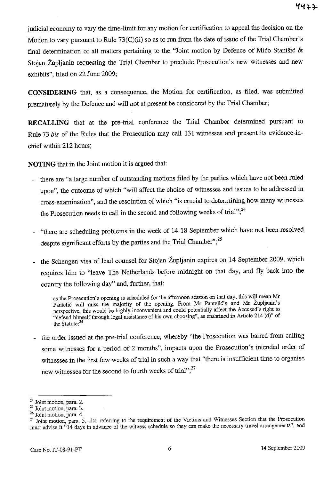judicial economy to vary the time-limit for any motion for certification to appeal the decision on the Motion to vary pursuant to Rule  $73(C)(ii)$  so as to run from the date of issue of the Trial Chamber's final determination of all matters pertaining to the "Joint motion by Defence of Mićo Stanišić  $\&$ Stojan Župljanin requesting the Trial Chamber to preclude Prosecution's new witnesses and new exhibits", filed on 22 June 2009;

**CONSIDERING** that, as a consequence, the Motion for certification, as filed, was submitted prematurely by the Defence and will not at present be considered by the Trial Chamber;

**RECALLING** that at the pre-trial conference the Trial Chamber determined pursuant to Rule 73 bis of the Rules that the Prosecution may call 131 witnesses and present its evidence-inchief within 212 hours;

**NOTING** that in the Joint motion it is argued that:

- there are "a large number of outstanding motions filed by the parties which have not been ruled upon", the outcome of which "will affect the choice of witnesses and issues to be addressed in cross-examination", and the resolution of which "is crucial to determining how many witnesses the Prosecution needs to call in the second and following weeks of trial"; $^{24}$
- "there are scheduling problems in the week of 14-18 September which have not been resolved despite significant efforts by the parties and the Trial Chamber";<sup>25</sup>
- the Schengen visa of lead counsel for Stojan Župljanin expires on 14 September 2009, which requires him to "leave The Netherlands before midnight on that day, and fly back into the country the following day" and, further, that:

as the Prosecution's opening is scheduled for the afternoon session on that day, this will mean Mr Pantelić will miss the majority of the opening. From Mr Pantelić's and Mr Župljanin's perspective, this would be highly inconvenient and could potentially affect the Accused's right to "defend himself through legal assistance of his own choosing", as enshrined in Article 214 (d)" of the Statute;<sup>26</sup>

- the order issued at the pre-trial conference, whereby "the Prosecution was barred from calling some witnesses for a period of 2 months", impacts upon the Prosecution's intended order of witnesses in the first few weeks of trial in such a way that "there is insufficient time to organise new witnesses for the second to fourth weeks of trial";<sup>27</sup>

**<sup>24</sup> Joint motion, para. 2.** 

**<sup>25</sup> Joint motion, para. 3.** 

**<sup>26</sup> Joint motion, para. 4.** 

<sup>&</sup>lt;sup>27</sup> Joint motion, para. 5, also referring to the requirement of the Victims and Witnesses Section that the Prosecution must advise it "14 days in advance of the witness schedule so they can make the necessary travel arrangements", and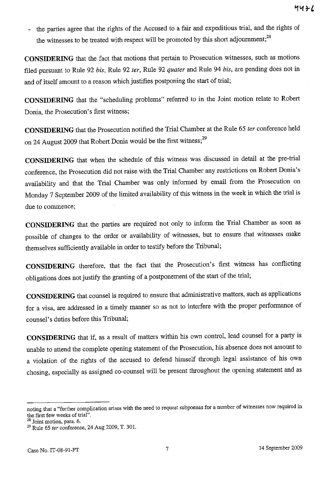- the parties agree that the rights of the Accused to a fair and expeditious trial, and the rights of the witnesses to be treated with respect will be promoted by this short adjournment;<sup>28</sup>

**CONSIDERING** that the fact that motions that pertain to Prosecution witnesses, such as motions filed pursuant to Rule 92 *bis,* Rule 92 *ter,* Rule 92 *quater* and Rule 94 *bis,* are pending does not in and of itself amount to a reason which justifies postponing the start of trial;

**CONSIDERING** that the "scheduling problems" referred to in the Joint motion relate to Robert Donia, the Prosecution's first witness;

**CONSIDERING** that the Prosecution notified the Trial Chamber at the Rule 65 *ter* conference held on 24 August 2009 that Robert Donia would be the first witness;<sup>29</sup>

**CONSIDERING** that when the schedule of this witness was discussed in detail at the pre-trial conference, the Prosecution did not raise with the Trial Chamber any restrictions on Robert Donia's availability and that the Trial Chamber was only informed by email from the Prosecution on Monday 7 September 2009 of the limited availability of this witness in the week in which the trial is due to commence;

**CONSIDERING** that the parties are required not only to inform the Trial Chamber as soon as possible of changes to the order or availability of witnesses, but to ensure that witnesses make themselves sufficiently available in order to testify before the Tribunal;

**CONSIDERING** therefore, that the fact that the Prosecution's first witness has conflicting obligations does not justify the granting of a postponement of the start of the trial;

**CONSIDERING** that counsel is required to ensure that administrative matters, such as applications for a visa, are addressed in a timely manner so as not to interfere with the proper performance of counsel's duties before this Tribunal;

**CONSIDERING** that if, as a result of matters within his own control, lead counsel for a party is unable to attend the complete opening statement of the Prosecution, his absence does not amount to a violation of the rights of the accused to defend himself through legal assistance of his own chosing, especially as assigned co-counsel will be present throughout the opening statement and as

**noting that a "further complieation arises with the need to request subpoenas for a number of witnesses now required in**  the first few weeks of trial".

<sup>&</sup>lt;sup>28</sup> Joint motion, para. 6.

<sup>29</sup> Rule 65 *ter* conference, 24 Aug 2009, T. 301.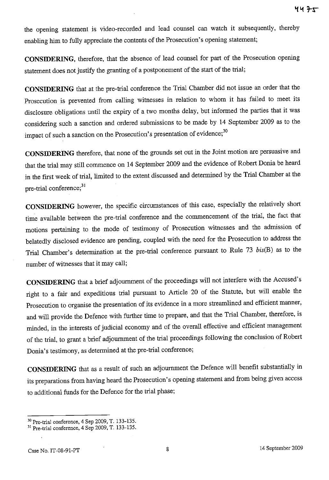the opening statement is video-recorded and lead counsel can watch it subsequently, thereby enabling him to fully appreciate the contents of the Prosecution's opening statement;

**CONSIDERING,** therefore, that the absence of lead counsel for part of the Prosecution opening statement does not justify the granting of a postponement of the start of the trial;

**CONSIDERING** that at the pre-trial conference the Trial Chamber did not issue an order that the Prosecution is prevented from calling witnesses in relation to whom it has failed to meet its disclosure obligations until the expiry of a two months delay, but informed the parties that it was considering such a sanction and ordered submissions to be made by 14 September 2009 as to the impact of such a sanction on the Prosecution's presentation of evidence;<sup>30</sup>

**CONSIDERING** therefore, that none of the grounds set out in the Joint motion are persuasive and that the trial may still commence on 14 September 2009 and the evidence of Robert Donia be heard in the first week of trial, limited to the extent discussed and determined by the Trial Chamber at the pre-trial conference;<sup>31</sup>

**CONSIDERING** however, the specific circumstances of this case, especially the relatively short time available between the pre-trial conference and the commencement of the trial, the fact that motions pertaining to the mode of testimony of Prosecution witnesses and the admission of belatedly disclosed evidence are pending, coupled with the nced for the Prosecution to address the Trial Chamber's determination at the pre-trial conference pursuant to Rule 73 bis(B) as to the number of witnesses that it may call;

**CONSIDERING** that a brief adjournment of the proceedings will not interfere with the Accused's right to a fair and expeditious trial pursuant to Article 20 of the Statute, but will enable the Prosecution to organise the presentation of its evidence in a more streamlined and efficient manner, and will provide the Defence with further time to prepare, and that the Trial Chamber, therefore, is minded, in the interests of judicial economy and of the overall effective and efficient management of the trial, to grant a brief adjournment of the trial proceedings following the conclusion of Robert Donia's testimony, as determined at the pre-trial conference;

**CONSIDERING** that as a result of such an adjoumment the Defence will benefit substantially in its preparations from having heard the Prosecution's opening statement and from being given access to additional funds for the Defence for the trial phase;

<sup>30</sup> Pre-trial conference, 4 Sep 2009, T. 133-135.

<sup>31</sup> Pre-trial conference, 4 Sep 2009, T. 133-135.